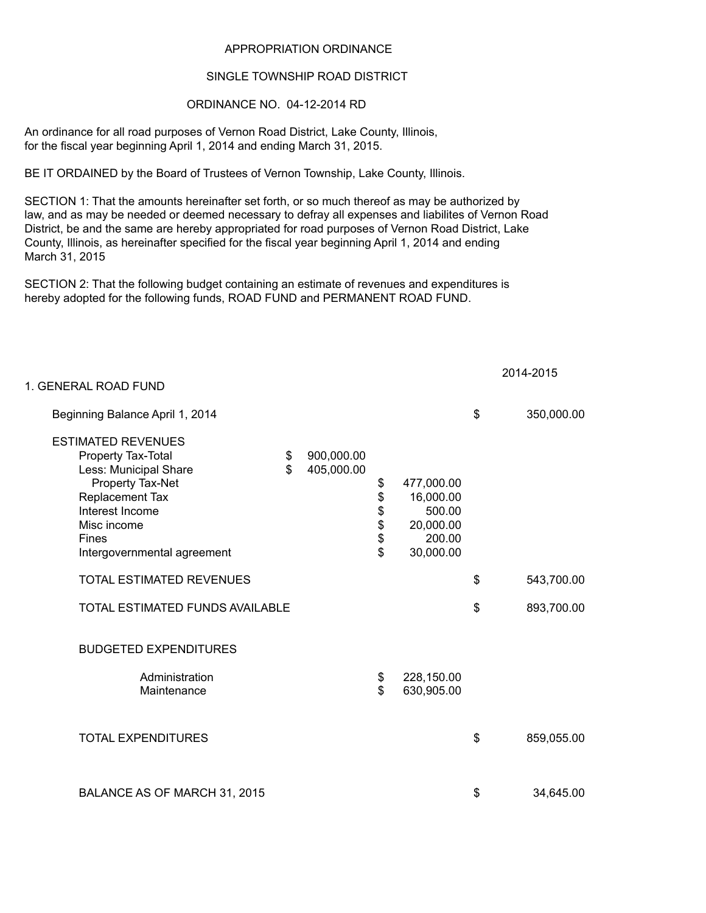## APPROPRIATION ORDINANCE

## SINGLE TOWNSHIP ROAD DISTRICT

## ORDINANCE NO. 04-12-2014 RD

An ordinance for all road purposes of Vernon Road District, Lake County, Illinois, for the fiscal year beginning April 1, 2014 and ending March 31, 2015.

BE IT ORDAINED by the Board of Trustees of Vernon Township, Lake County, Illinois.

SECTION 1: That the amounts hereinafter set forth, or so much thereof as may be authorized by law, and as may be needed or deemed necessary to defray all expenses and liabilites of Vernon Road District, be and the same are hereby appropriated for road purposes of Vernon Road District, Lake County, Illinois, as hereinafter specified for the fiscal year beginning April 1, 2014 and ending March 31, 2015

SECTION 2: That the following budget containing an estimate of revenues and expenditures is hereby adopted for the following funds, ROAD FUND and PERMANENT ROAD FUND.

| 1. GENERAL ROAD FUND                                                                                                                                                                             |          |                          |                                              |                                                                       |                  |
|--------------------------------------------------------------------------------------------------------------------------------------------------------------------------------------------------|----------|--------------------------|----------------------------------------------|-----------------------------------------------------------------------|------------------|
| Beginning Balance April 1, 2014                                                                                                                                                                  |          |                          |                                              |                                                                       | \$<br>350,000.00 |
| <b>ESTIMATED REVENUES</b><br>Property Tax-Total<br>Less: Municipal Share<br>Property Tax-Net<br>Replacement Tax<br>Interest Income<br>Misc income<br><b>Fines</b><br>Intergovernmental agreement | \$<br>\$ | 900,000.00<br>405,000.00 | \$<br>\$<br>\$<br>\$<br>\$<br>$\mathfrak{S}$ | 477,000.00<br>16,000.00<br>500.00<br>20,000.00<br>200.00<br>30,000.00 |                  |
| <b>TOTAL ESTIMATED REVENUES</b>                                                                                                                                                                  |          |                          |                                              |                                                                       | \$<br>543,700.00 |
| TOTAL ESTIMATED FUNDS AVAILABLE                                                                                                                                                                  |          |                          |                                              |                                                                       | \$<br>893,700.00 |
| <b>BUDGETED EXPENDITURES</b>                                                                                                                                                                     |          |                          |                                              |                                                                       |                  |
| Administration<br>Maintenance                                                                                                                                                                    |          |                          | \$<br>$\mathbf S$                            | 228,150.00<br>630,905.00                                              |                  |
| <b>TOTAL EXPENDITURES</b>                                                                                                                                                                        |          |                          |                                              |                                                                       | \$<br>859,055.00 |
| BALANCE AS OF MARCH 31, 2015                                                                                                                                                                     |          |                          |                                              |                                                                       | \$<br>34,645.00  |

2014-2015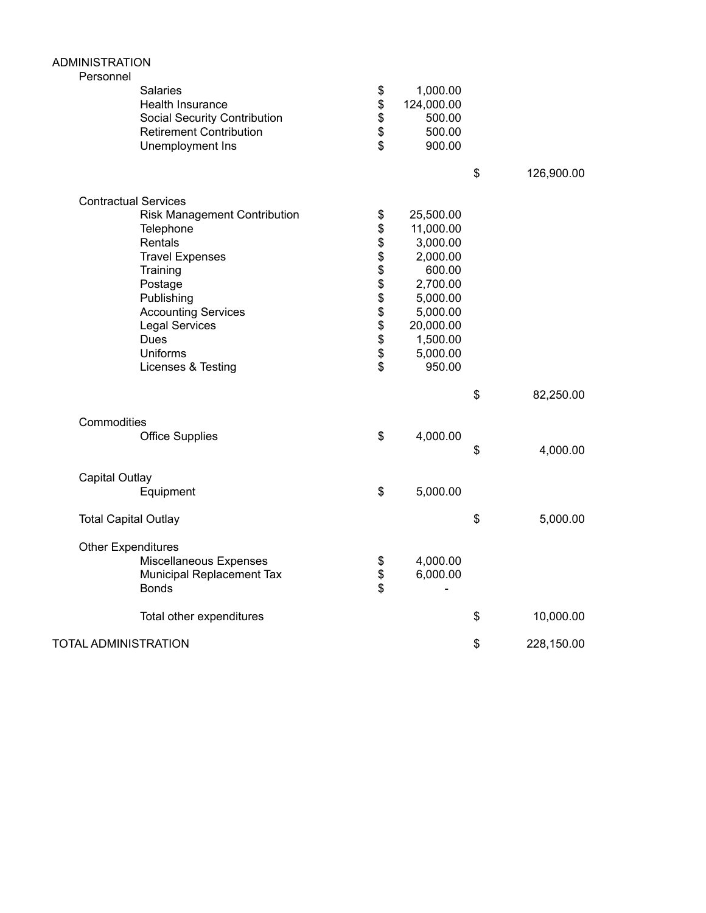| <b>ADMINISTRATION</b>                                                                                                                                                                                                              |                                    |                                                                                                                                             |                  |
|------------------------------------------------------------------------------------------------------------------------------------------------------------------------------------------------------------------------------------|------------------------------------|---------------------------------------------------------------------------------------------------------------------------------------------|------------------|
| Personnel<br><b>Salaries</b><br>Health Insurance<br><b>Social Security Contribution</b><br><b>Retirement Contribution</b><br>Unemployment Ins                                                                                      | \$<br>\$<br>\$<br>\$<br>\$         | 1,000.00<br>124,000.00<br>500.00<br>500.00<br>900.00                                                                                        |                  |
|                                                                                                                                                                                                                                    |                                    |                                                                                                                                             | \$<br>126,900.00 |
| <b>Contractual Services</b>                                                                                                                                                                                                        |                                    |                                                                                                                                             |                  |
| <b>Risk Management Contribution</b><br>Telephone<br>Rentals<br><b>Travel Expenses</b><br>Training<br>Postage<br>Publishing<br><b>Accounting Services</b><br><b>Legal Services</b><br>Dues<br><b>Uniforms</b><br>Licenses & Testing | \$<br>\$<br><b>888888888</b><br>\$ | 25,500.00<br>11,000.00<br>3,000.00<br>2,000.00<br>600.00<br>2,700.00<br>5,000.00<br>5,000.00<br>20,000.00<br>1,500.00<br>5,000.00<br>950.00 |                  |
|                                                                                                                                                                                                                                    |                                    |                                                                                                                                             | \$<br>82,250.00  |
| Commodities<br><b>Office Supplies</b>                                                                                                                                                                                              | \$                                 | 4,000.00                                                                                                                                    | \$<br>4,000.00   |
| <b>Capital Outlay</b>                                                                                                                                                                                                              |                                    |                                                                                                                                             |                  |
| Equipment                                                                                                                                                                                                                          | \$                                 | 5,000.00                                                                                                                                    |                  |
| <b>Total Capital Outlay</b>                                                                                                                                                                                                        |                                    |                                                                                                                                             | \$<br>5,000.00   |
| <b>Other Expenditures</b><br>Miscellaneous Expenses<br>Municipal Replacement Tax<br><b>Bonds</b>                                                                                                                                   | \$<br>\$<br>\$                     | 4,000.00<br>6,000.00                                                                                                                        |                  |
| Total other expenditures                                                                                                                                                                                                           |                                    |                                                                                                                                             | \$<br>10,000.00  |
| <b>TOTAL ADMINISTRATION</b>                                                                                                                                                                                                        |                                    |                                                                                                                                             | \$<br>228,150.00 |
|                                                                                                                                                                                                                                    |                                    |                                                                                                                                             |                  |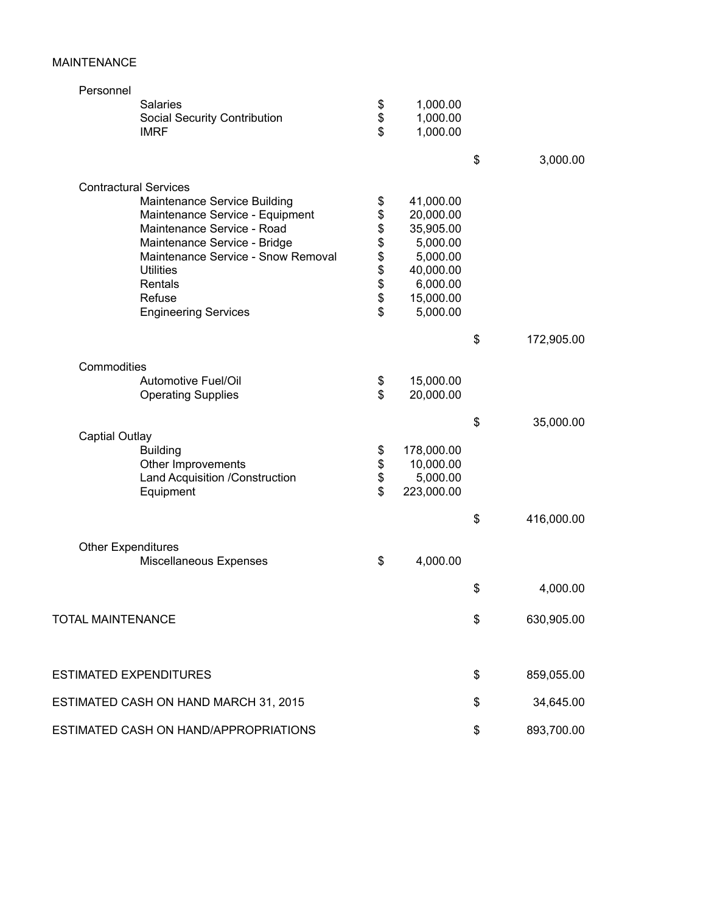## MAINTENANCE

| Personnel                             |                  |                  |
|---------------------------------------|------------------|------------------|
| <b>Salaries</b>                       | \$<br>1,000.00   |                  |
| <b>Social Security Contribution</b>   | \$<br>1,000.00   |                  |
| <b>IMRF</b>                           | \$<br>1,000.00   |                  |
|                                       |                  | \$<br>3,000.00   |
| <b>Contractural Services</b>          |                  |                  |
| Maintenance Service Building          | \$<br>41,000.00  |                  |
| Maintenance Service - Equipment       | \$<br>20,000.00  |                  |
| Maintenance Service - Road            | \$<br>35,905.00  |                  |
| Maintenance Service - Bridge          | \$<br>5,000.00   |                  |
| Maintenance Service - Snow Removal    | \$<br>5,000.00   |                  |
| <b>Utilities</b>                      | \$<br>40,000.00  |                  |
| Rentals                               | \$<br>6,000.00   |                  |
| Refuse                                | \$<br>15,000.00  |                  |
| <b>Engineering Services</b>           | \$<br>5,000.00   |                  |
|                                       |                  | \$<br>172,905.00 |
| Commodities                           |                  |                  |
| Automotive Fuel/Oil                   | \$<br>15,000.00  |                  |
| <b>Operating Supplies</b>             | \$<br>20,000.00  |                  |
|                                       |                  | \$<br>35,000.00  |
| <b>Captial Outlay</b>                 |                  |                  |
| <b>Building</b>                       | \$<br>178,000.00 |                  |
| Other Improvements                    | \$<br>10,000.00  |                  |
| Land Acquisition /Construction        | \$<br>5,000.00   |                  |
| Equipment                             | \$<br>223,000.00 |                  |
|                                       |                  | \$<br>416,000.00 |
| <b>Other Expenditures</b>             |                  |                  |
| Miscellaneous Expenses                | \$<br>4,000.00   |                  |
|                                       |                  | \$<br>4,000.00   |
| <b>TOTAL MAINTENANCE</b>              |                  | \$<br>630,905.00 |
|                                       |                  |                  |
| <b>ESTIMATED EXPENDITURES</b>         |                  | \$<br>859,055.00 |
| ESTIMATED CASH ON HAND MARCH 31, 2015 |                  | \$<br>34,645.00  |
|                                       |                  |                  |
| ESTIMATED CASH ON HAND/APPROPRIATIONS |                  | \$<br>893,700.00 |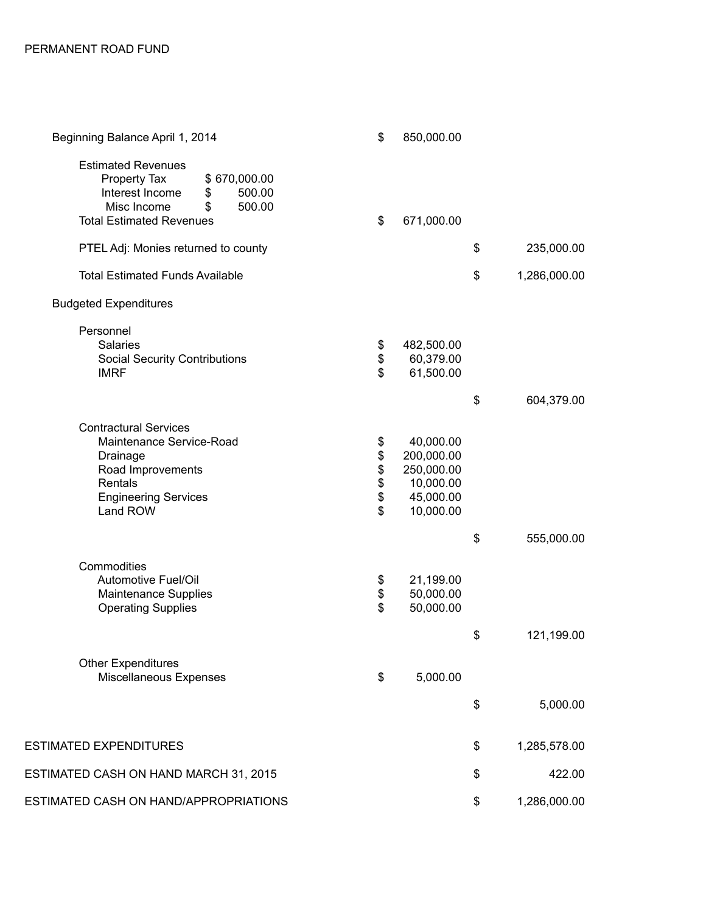| Beginning Balance April 1, 2014                                                                                                                                | \$                               | 850,000.00                                                                   |                    |
|----------------------------------------------------------------------------------------------------------------------------------------------------------------|----------------------------------|------------------------------------------------------------------------------|--------------------|
| <b>Estimated Revenues</b><br>Property Tax<br>\$670,000.00<br>Interest Income<br>500.00<br>\$<br>Misc Income<br>500.00<br>\$<br><b>Total Estimated Revenues</b> | \$                               | 671,000.00                                                                   |                    |
| PTEL Adj: Monies returned to county                                                                                                                            |                                  |                                                                              | \$<br>235,000.00   |
| <b>Total Estimated Funds Available</b>                                                                                                                         |                                  |                                                                              | \$<br>1,286,000.00 |
| <b>Budgeted Expenditures</b>                                                                                                                                   |                                  |                                                                              |                    |
| Personnel<br><b>Salaries</b><br><b>Social Security Contributions</b><br><b>IMRF</b>                                                                            | \$<br>\$<br>$\mathfrak{S}$       | 482,500.00<br>60,379.00<br>61,500.00                                         |                    |
|                                                                                                                                                                |                                  |                                                                              | \$<br>604,379.00   |
| <b>Contractural Services</b><br>Maintenance Service-Road<br>Drainage<br>Road Improvements<br>Rentals<br><b>Engineering Services</b><br>Land ROW                | \$<br>\$\$\$\$<br>$\mathfrak{S}$ | 40,000.00<br>200,000.00<br>250,000.00<br>10,000.00<br>45,000.00<br>10,000.00 |                    |
|                                                                                                                                                                |                                  |                                                                              | \$<br>555,000.00   |
| Commodities<br>Automotive Fuel/Oil<br>Maintenance Supplies<br><b>Operating Supplies</b>                                                                        | \$<br>\$<br>$\mathfrak{S}$       | 21,199.00<br>50,000.00<br>50,000.00                                          |                    |
|                                                                                                                                                                |                                  |                                                                              | \$<br>121,199.00   |
| <b>Other Expenditures</b><br>Miscellaneous Expenses                                                                                                            | \$                               | 5,000.00                                                                     |                    |
|                                                                                                                                                                |                                  |                                                                              | \$<br>5,000.00     |
| <b>ESTIMATED EXPENDITURES</b>                                                                                                                                  |                                  |                                                                              | \$<br>1,285,578.00 |
| ESTIMATED CASH ON HAND MARCH 31, 2015                                                                                                                          |                                  |                                                                              | \$<br>422.00       |
| ESTIMATED CASH ON HAND/APPROPRIATIONS                                                                                                                          |                                  |                                                                              | \$<br>1,286,000.00 |